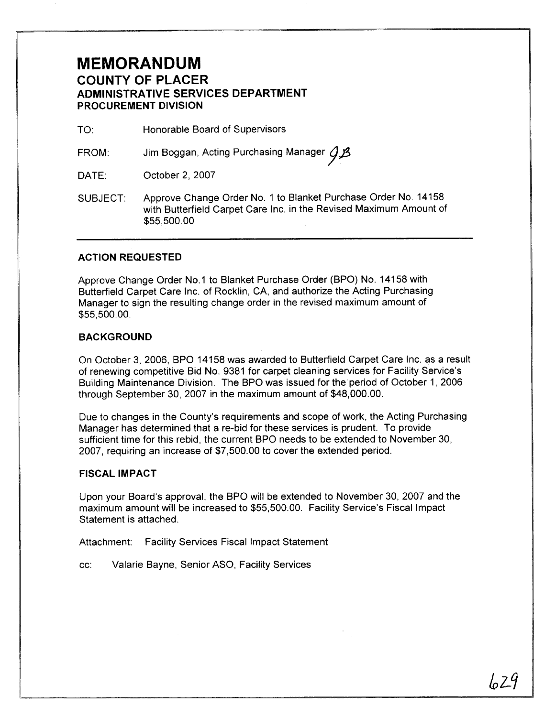## **MEMORANDUM COUNTY OF PLACER ADMINISTRATIVE SERVICES DEPARTMENT PROCUREMENT DIVISION**

TO: Honorable Board of Supervisors

FROM: Jim Boggan, Acting Purchasing Manager  $\mathcal{G}\mathcal{B}$  $93$ 

DATE: October 2, 2007

SUBJECT. Approve Change Order No. 1 to Blanket Purchase Order No. 14158 with Butterfield Carpet Care Inc. in the Revised Maximum Amount of \$55,500.00

### **ACTION REQUESTED**

Approve Change Order No.1 to Blanket Purchase Order (BPO) No. 14158 with Butterfield Carpet Care Inc. of Rocklin, CA, and authorize the Acting Purchasing Manager to sign the resulting change order in the revised maximum amount of \$55,500.00.

### **BACKGROUND**

On October 3, 2006, BPO 14158 was awarded to Butterfield Carpet Care Inc. as a result of renewing competitive Bid No. 9381 for carpet cleaning services for Facility Service's Building Maintenance Division. The BPO was issued for the period of October 1, 2006 through September 30, 2007 in the maximum amount of \$48,000.00.

Due to changes in the County's requirements and scope of work, the Acting Purchasing Manager has determined that a re-bid for these services is prudent. To provide sufficient time for this rebid, the current BPO needs to be extended to November 30, 2007, requiring an increase of \$7,500.00 to cover the extended period.

#### **FISCAL IMPACT**

Upon your Board's approval, the BPO will be extended to November 30, 2007 and the maximum amount will be increased to \$55,500.00. Facility Service's Fiscal Impact Statement is attached.

Attachment: Facility Services Fiscal Impact Statement

cc: Valarie Bayne, Senior ASO, Facility Services